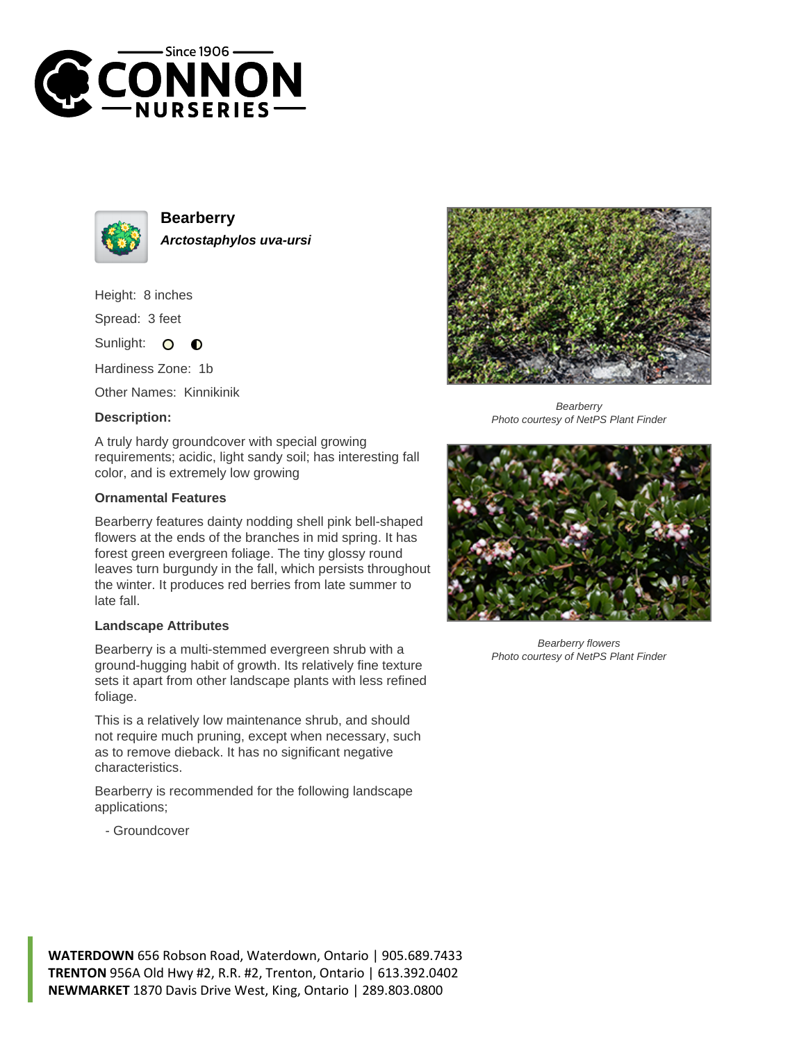



**Bearberry Arctostaphylos uva-ursi**

Height: 8 inches

Spread: 3 feet

Sunlight: O  $\bullet$ 

Hardiness Zone: 1b

Other Names: Kinnikinik

## **Description:**

A truly hardy groundcover with special growing requirements; acidic, light sandy soil; has interesting fall color, and is extremely low growing

## **Ornamental Features**

Bearberry features dainty nodding shell pink bell-shaped flowers at the ends of the branches in mid spring. It has forest green evergreen foliage. The tiny glossy round leaves turn burgundy in the fall, which persists throughout the winter. It produces red berries from late summer to late fall.

## **Landscape Attributes**

Bearberry is a multi-stemmed evergreen shrub with a ground-hugging habit of growth. Its relatively fine texture sets it apart from other landscape plants with less refined foliage.

This is a relatively low maintenance shrub, and should not require much pruning, except when necessary, such as to remove dieback. It has no significant negative characteristics.

Bearberry is recommended for the following landscape applications;





**Bearberry** Photo courtesy of NetPS Plant Finder



Bearberry flowers Photo courtesy of NetPS Plant Finder

**WATERDOWN** 656 Robson Road, Waterdown, Ontario | 905.689.7433 **TRENTON** 956A Old Hwy #2, R.R. #2, Trenton, Ontario | 613.392.0402 **NEWMARKET** 1870 Davis Drive West, King, Ontario | 289.803.0800